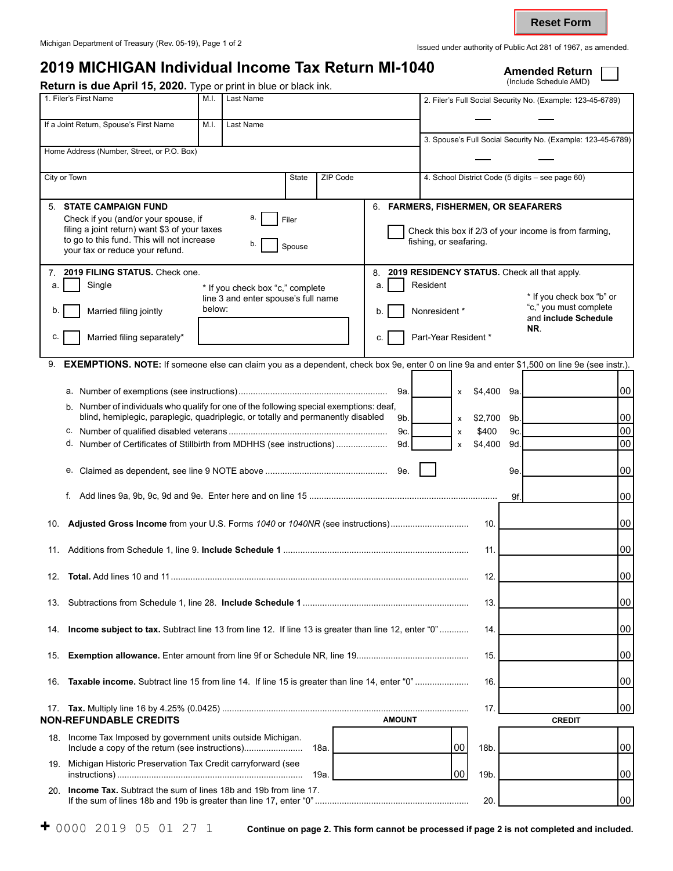**Reset Form**

## **2019 MICHIGAN Individual Income Tax Return MI-1040** Amended Return **Amended Return Return Amended Return** Return is due April 15, 2020. Type or print in blue or black ink. 1. Filer's First Name M.I. | Last Name M.I. | Last Name 2. Filer's Full Social Security No. (Example: 123-45-6789) If a Joint Return, Spouse's First Name M.I. | Last Name 3. Spouse's Full Social Security No. (Example: 123-45-6789) Home Address (Number, Street, or P.O. Box) City or Town State ZIP Code 4. School District Code (5 digits – see page 60) 5. **STATE CAMPAIGN FUND**  Check if you (and/or your spouse, if  $\begin{array}{ccc} a & \begin{array}{ccc} \end{array} & c \end{array}$ filing a joint return) want \$3 of your taxes to go to this fund. This will not increase <br>your tax or reduce your refund. 6. **FARMERS, FISHERMEN, OR SEAFARERS**  Check this box if 2/3 of your income is from farming, fishing, or seafaring. 7. **2019 FILING STATUS.** Check one. a. Single \* If you check box "c," complete line 3 and enter spouse's full name b. Married filing jointly below: c.  $\vert$  Married filing separately\* 8. **2019 RESIDENCY STATUS.** Check all that apply. a. **Resident** \* If you check box "b" or b. Nonresident \* "c," you must complete and **include Schedule NR**. c. **Part-Year Resident** \* 9. **EXEMPTIONS. NOTE:** If someone else can claim you as a dependent, check box 9e, enter 0 on line 9a and enter \$1,500 on line 9e (see instr.). a. Number of exemptions (see instructions)............................................................. 9a. x \$4,400 b. Number of individuals who qualify for one of the following special exemptions: deaf, blind, hemiplegic, paraplegic, quadriplegic, or totally and permanently disabled  $9b.$   $\vert x $2,700$ c. Number of qualified disabled veterans ................................................................. 9c. x \$400 d. Number of Certificates of Stillbirth from MDHHS (see instructions) ..................... 9d. x \$4,400 e. Claimed as dependent, see line 9 NOTE above .................................................. 9e. f. Add lines 9a, 9b, 9c, 9d and 9e. Enter here and on line 15 ............................................................................. 10. **Adjusted Gross Income** from your U.S. Forms *1040* or *1040NR* (see instructions)................................ 10. 11. Additions from Schedule 1, line 9. **Include Schedule 1** ............................................................................ 11. 12. **Total.** Add lines 10 and 11.......................................................................................................................... 12. 13. Subtractions from Schedule 1, line 28. **Include Schedule 1** .................................................................... 13. 14. **Income subject to tax.** Subtract line 13 from line 12. If line 13 is greater than line 12, enter "0" ............ 14. 15. **Exemption allowance.** Enter amount from line 9f or Schedule NR, line 19.............................................. 15. 16. **Taxable income.** Subtract line 15 from line 14. If line 15 is greater than line 14, enter "0" ...................... 16. 17. **Tax.** Multiply line 16 by 4.25% (0.0425) ..................................................................................................... 17. **NON-REFUNDABLE CREDITS AMOUNT** 18. Income Tax Imposed by government units outside Michigan. Include a copy of the return (see instructions)........................ 18a. 00 00 18b. 19. Michigan Historic Preservation Tax Credit carryforward (see instructions) ............................................................................ 19a. 19b. \$4,400 9a. 9b. 9c. 9d. 9e. 9f. 00 00 00 00 00 00 00 00 00 00 00 00 00 00 **CREDIT**  00 00

20. **Income Tax.** Subtract the sum of lines 18b and 19b from line 17. If the sum of lines 18b and 19b is greater than line 17, enter "0" ............................................................... 20.

00